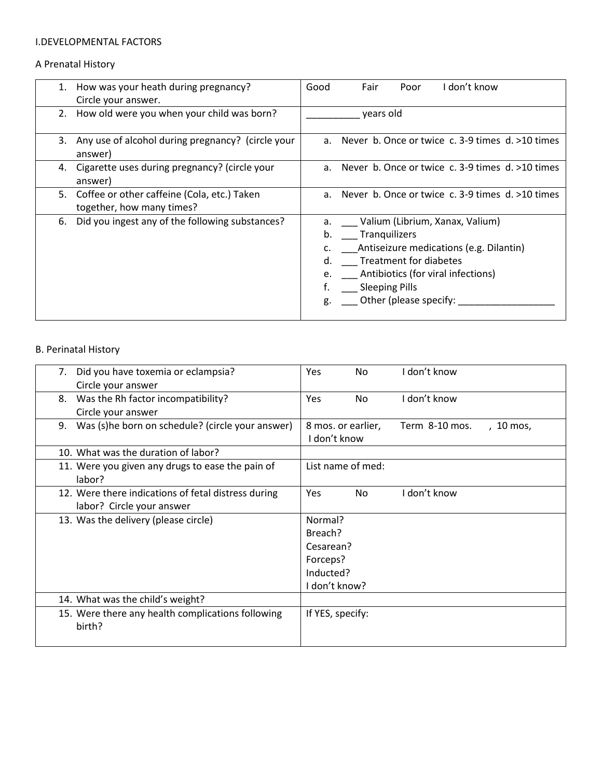#### I.DEVELOPMENTAL FACTORS

## A Prenatal History

|    | 1. How was your heath during pregnancy?<br>Circle your answer.           | Good                       | Fair      | Poor                                                                                              | I don't know                                                                                                        |
|----|--------------------------------------------------------------------------|----------------------------|-----------|---------------------------------------------------------------------------------------------------|---------------------------------------------------------------------------------------------------------------------|
|    | 2. How old were you when your child was born?                            |                            | years old |                                                                                                   |                                                                                                                     |
|    | 3. Any use of alcohol during pregnancy? (circle your<br>answer)          |                            |           |                                                                                                   | a. Never b. Once or twice c. 3-9 times $d. > 10$ times                                                              |
|    | 4. Cigarette uses during pregnancy? (circle your<br>answer)              |                            |           |                                                                                                   | a. Never b. Once or twice c. 3-9 times d. >10 times                                                                 |
| 5. | Coffee or other caffeine (Cola, etc.) Taken<br>together, how many times? |                            |           |                                                                                                   | a. Never b. Once or twice c. 3-9 times d. >10 times                                                                 |
| 6. | Did you ingest any of the following substances?                          | b.<br>d.<br>e.<br>f.<br>g. |           | Tranquilizers<br><b>Treatment for diabetes</b><br><b>Sleeping Pills</b><br>Other (please specify: | a. Valium (Librium, Xanax, Valium)<br>Antiseizure medications (e.g. Dilantin)<br>Antibiotics (for viral infections) |

# B. Perinatal History

| Did you have toxemia or eclampsia?<br>7.                    | <b>Yes</b><br>I don't know<br>No.                  |
|-------------------------------------------------------------|----------------------------------------------------|
| Circle your answer                                          |                                                    |
| Was the Rh factor incompatibility?<br>8.                    | I don't know<br>Yes<br>No                          |
| Circle your answer                                          |                                                    |
| Was (s)he born on schedule? (circle your answer)<br>9.      | 8 mos. or earlier,<br>Term 8-10 mos.<br>,  10 mos, |
|                                                             | I don't know                                       |
| 10. What was the duration of labor?                         |                                                    |
| 11. Were you given any drugs to ease the pain of            | List name of med:                                  |
| labor?                                                      |                                                    |
| 12. Were there indications of fetal distress during         | I don't know<br><b>Yes</b><br>No.                  |
| labor? Circle your answer                                   |                                                    |
| 13. Was the delivery (please circle)                        | Normal?                                            |
|                                                             | Breach?                                            |
|                                                             | Cesarean?                                          |
|                                                             | Forceps?                                           |
|                                                             | Inducted?                                          |
|                                                             | I don't know?                                      |
| 14. What was the child's weight?                            |                                                    |
| 15. Were there any health complications following<br>birth? | If YES, specify:                                   |
|                                                             |                                                    |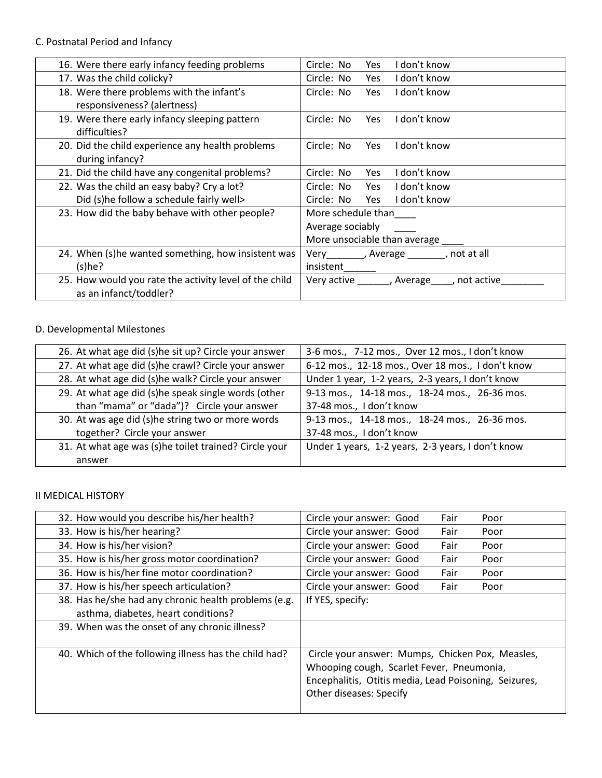# C. Postnatal Period and Infancy

| 16. Were there early infancy feeding problems                                    | Circle: No<br>I don't know<br>Yes            |  |
|----------------------------------------------------------------------------------|----------------------------------------------|--|
| 17. Was the child colicky?                                                       | Circle: No<br>I don't know<br>Yes            |  |
| 18. Were there problems with the infant's<br>responsiveness? (alertness)         | I don't know<br>Circle: No<br>Yes            |  |
| 19. Were there early infancy sleeping pattern<br>difficulties?                   | I don't know<br>Circle: No<br>Yes            |  |
| 20. Did the child experience any health problems<br>during infancy?              | Circle: No<br>I don't know<br>Yes            |  |
| 21. Did the child have any congenital problems?                                  | Circle: No<br>I don't know<br>Yes            |  |
| 22. Was the child an easy baby? Cry a lot?                                       | Circle: No Yes<br>I don't know               |  |
| Did (s)he follow a schedule fairly well>                                         | I don't know<br>Circle: No Yes               |  |
| 23. How did the baby behave with other people?                                   | More schedule than                           |  |
|                                                                                  | Average sociably                             |  |
|                                                                                  | More unsociable than average ____            |  |
| 24. When (s)he wanted something, how insistent was                               | Very________, Average _______, not at all    |  |
| (s)he?                                                                           | insistent                                    |  |
| 25. How would you rate the activity level of the child<br>as an infanct/toddler? | Very active ______, Average____, not active_ |  |

## D. Developmental Milestones

| 26. At what age did (s)he sit up? Circle your answer  | 3-6 mos., 7-12 mos., Over 12 mos., I don't know   |
|-------------------------------------------------------|---------------------------------------------------|
| 27. At what age did (s)he crawl? Circle your answer   | 6-12 mos., 12-18 mos., Over 18 mos., I don't know |
| 28. At what age did (s)he walk? Circle your answer    | Under 1 year, 1-2 years, 2-3 years, I don't know  |
| 29. At what age did (s)he speak single words (other   | 9-13 mos., 14-18 mos., 18-24 mos., 26-36 mos.     |
| than "mama" or "dada")? Circle your answer            | 37-48 mos., I don't know                          |
| 30. At was age did (s)he string two or more words     | 9-13 mos., 14-18 mos., 18-24 mos., 26-36 mos.     |
| together? Circle your answer                          | 37-48 mos., I don't know                          |
| 31. At what age was (s)he toilet trained? Circle your | Under 1 years, 1-2 years, 2-3 years, I don't know |
| answer                                                |                                                   |

## II MEDICAL HISTORY

| 32. How would you describe his/her health?            | Fair<br>Circle your answer: Good<br>Poor                                                                                                                                          |
|-------------------------------------------------------|-----------------------------------------------------------------------------------------------------------------------------------------------------------------------------------|
| 33. How is his/her hearing?                           | Circle your answer: Good<br>Fair<br>Poor                                                                                                                                          |
| 34. How is his/her vision?                            | Circle your answer: Good<br>Fair<br>Poor                                                                                                                                          |
| 35. How is his/her gross motor coordination?          | Circle your answer: Good<br>Fair<br>Poor                                                                                                                                          |
| 36. How is his/her fine motor coordination?           | Circle your answer: Good<br>Fair<br>Poor                                                                                                                                          |
| 37. How is his/her speech articulation?               | Circle your answer: Good<br>Fair<br>Poor                                                                                                                                          |
| 38. Has he/she had any chronic health problems (e.g.  | If YES, specify:                                                                                                                                                                  |
| asthma, diabetes, heart conditions?                   |                                                                                                                                                                                   |
| 39. When was the onset of any chronic illness?        |                                                                                                                                                                                   |
| 40. Which of the following illness has the child had? | Circle your answer: Mumps, Chicken Pox, Measles,<br>Whooping cough, Scarlet Fever, Pneumonia,<br>Encephalitis, Otitis media, Lead Poisoning, Seizures,<br>Other diseases: Specify |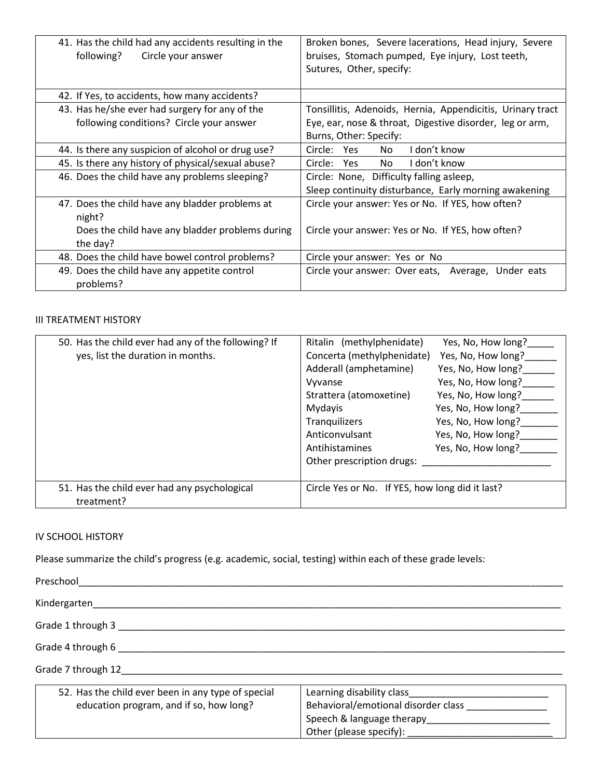| 41. Has the child had any accidents resulting in the<br>following?<br>Circle your answer | Broken bones, Severe lacerations, Head injury, Severe<br>bruises, Stomach pumped, Eye injury, Lost teeth,<br>Sutures, Other, specify: |
|------------------------------------------------------------------------------------------|---------------------------------------------------------------------------------------------------------------------------------------|
| 42. If Yes, to accidents, how many accidents?                                            |                                                                                                                                       |
| 43. Has he/she ever had surgery for any of the                                           | Tonsillitis, Adenoids, Hernia, Appendicitis, Urinary tract                                                                            |
| following conditions? Circle your answer                                                 | Eye, ear, nose & throat, Digestive disorder, leg or arm,                                                                              |
|                                                                                          | Burns, Other: Specify:                                                                                                                |
| 44. Is there any suspicion of alcohol or drug use?                                       | I don't know<br>Circle: Yes<br>No.                                                                                                    |
| 45. Is there any history of physical/sexual abuse?                                       | I don't know<br>No.<br>Circle: Yes                                                                                                    |
| 46. Does the child have any problems sleeping?                                           | Circle: None, Difficulty falling asleep,                                                                                              |
|                                                                                          | Sleep continuity disturbance, Early morning awakening                                                                                 |
| 47. Does the child have any bladder problems at<br>night?                                | Circle your answer: Yes or No. If YES, how often?                                                                                     |
| Does the child have any bladder problems during<br>the day?                              | Circle your answer: Yes or No. If YES, how often?                                                                                     |
| 48. Does the child have bowel control problems?                                          | Circle your answer: Yes or No                                                                                                         |
| 49. Does the child have any appetite control<br>problems?                                | Circle your answer: Over eats, Average, Under eats                                                                                    |

#### III TREATMENT HISTORY

| 50. Has the child ever had any of the following? If | Ritalin (methylphenidate)                       | Yes, No, How long? |
|-----------------------------------------------------|-------------------------------------------------|--------------------|
| yes, list the duration in months.                   | Concerta (methylphenidate)                      | Yes, No, How long? |
|                                                     | Adderall (amphetamine)                          | Yes, No, How long? |
|                                                     | Vyvanse                                         | Yes, No, How long? |
|                                                     | Strattera (atomoxetine)                         | Yes, No, How long? |
|                                                     | Mydayis                                         | Yes, No, How long? |
|                                                     | Tranquilizers                                   | Yes, No, How long? |
|                                                     | Anticonvulsant                                  | Yes, No, How long? |
|                                                     | Antihistamines                                  | Yes, No, How long? |
|                                                     | Other prescription drugs:                       |                    |
|                                                     |                                                 |                    |
| 51. Has the child ever had any psychological        | Circle Yes or No. If YES, how long did it last? |                    |
| treatment?                                          |                                                 |                    |

### IV SCHOOL HISTORY

Please summarize the child's progress (e.g. academic, social, testing) within each of these grade levels:

| Preschool                                                                                     |                                                                                                                         |  |
|-----------------------------------------------------------------------------------------------|-------------------------------------------------------------------------------------------------------------------------|--|
| Kindergarten                                                                                  |                                                                                                                         |  |
| Grade 1 through 3                                                                             |                                                                                                                         |  |
| Grade 4 through 6                                                                             |                                                                                                                         |  |
| Grade 7 through 12                                                                            |                                                                                                                         |  |
| 52. Has the child ever been in any type of special<br>education program, and if so, how long? | Learning disability class<br>Behavioral/emotional disorder class<br>Speech & language therapy Speech & language therapy |  |

Other (please specify):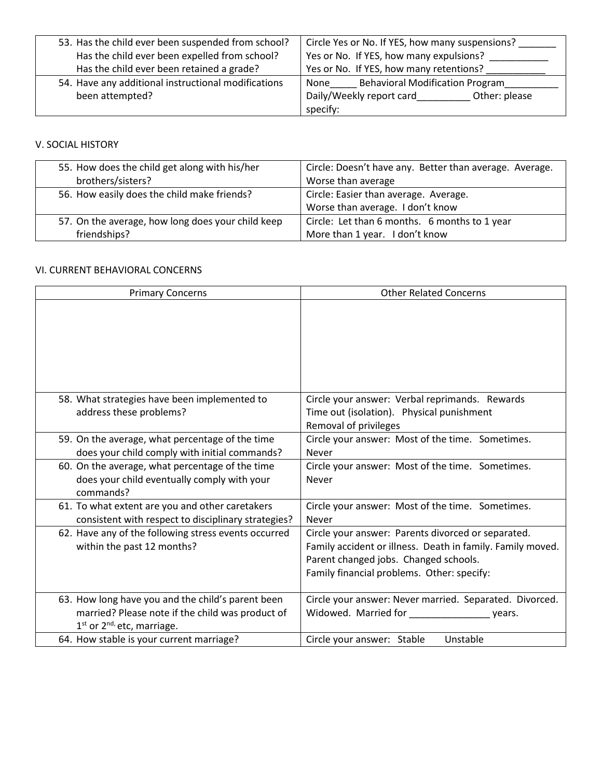| 53. Has the child ever been suspended from school?  | Circle Yes or No. If YES, how many suspensions? |
|-----------------------------------------------------|-------------------------------------------------|
| Has the child ever been expelled from school?       | Yes or No. If YES, how many expulsions?         |
| Has the child ever been retained a grade?           | Yes or No. If YES, how many retentions?         |
| 54. Have any additional instructional modifications | <b>Behavioral Modification Program</b><br>None  |
| been attempted?                                     | Daily/Weekly report card<br>Other: please       |
|                                                     | specify:                                        |

## V. SOCIAL HISTORY

| 55. How does the child get along with his/her     | Circle: Doesn't have any. Better than average. Average. |
|---------------------------------------------------|---------------------------------------------------------|
| brothers/sisters?                                 | Worse than average                                      |
| 56. How easily does the child make friends?       | Circle: Easier than average. Average.                   |
|                                                   | Worse than average. I don't know                        |
| 57. On the average, how long does your child keep | Circle: Let than 6 months. 6 months to 1 year           |
| friendships?                                      | More than 1 year. I don't know                          |

## VI. CURRENT BEHAVIORAL CONCERNS

| <b>Primary Concerns</b>                                                                                                                                     | <b>Other Related Concerns</b>                                                                                                                                                                           |
|-------------------------------------------------------------------------------------------------------------------------------------------------------------|---------------------------------------------------------------------------------------------------------------------------------------------------------------------------------------------------------|
|                                                                                                                                                             |                                                                                                                                                                                                         |
| 58. What strategies have been implemented to<br>address these problems?                                                                                     | Circle your answer: Verbal reprimands. Rewards<br>Time out (isolation). Physical punishment<br>Removal of privileges                                                                                    |
| 59. On the average, what percentage of the time<br>does your child comply with initial commands?                                                            | Circle your answer: Most of the time. Sometimes.<br><b>Never</b>                                                                                                                                        |
| 60. On the average, what percentage of the time<br>does your child eventually comply with your<br>commands?                                                 | Circle your answer: Most of the time. Sometimes.<br>Never                                                                                                                                               |
| 61. To what extent are you and other caretakers<br>consistent with respect to disciplinary strategies?                                                      | Circle your answer: Most of the time. Sometimes.<br>Never                                                                                                                                               |
| 62. Have any of the following stress events occurred<br>within the past 12 months?                                                                          | Circle your answer: Parents divorced or separated.<br>Family accident or illness. Death in family. Family moved.<br>Parent changed jobs. Changed schools.<br>Family financial problems. Other: specify: |
| 63. How long have you and the child's parent been<br>married? Please note if the child was product of<br>1 <sup>st</sup> or 2 <sup>nd,</sup> etc, marriage. | Circle your answer: Never married. Separated. Divorced.<br>Widowed. Married for ______________<br>vears.                                                                                                |
| 64. How stable is your current marriage?                                                                                                                    | Unstable<br>Circle your answer: Stable                                                                                                                                                                  |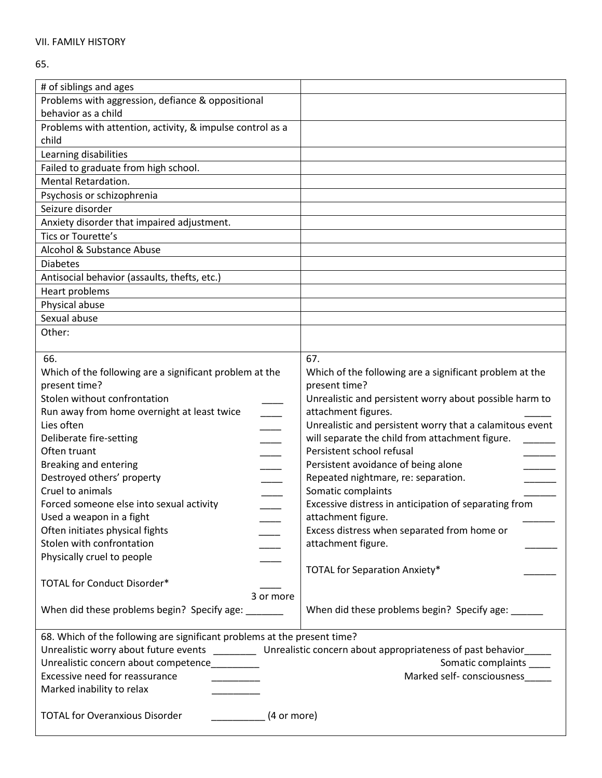#### 65.

| # of siblings and ages                                                                                              |                                                          |  |
|---------------------------------------------------------------------------------------------------------------------|----------------------------------------------------------|--|
| Problems with aggression, defiance & oppositional                                                                   |                                                          |  |
| behavior as a child                                                                                                 |                                                          |  |
| Problems with attention, activity, & impulse control as a                                                           |                                                          |  |
| child                                                                                                               |                                                          |  |
| Learning disabilities                                                                                               |                                                          |  |
| Failed to graduate from high school.                                                                                |                                                          |  |
| Mental Retardation.                                                                                                 |                                                          |  |
| Psychosis or schizophrenia                                                                                          |                                                          |  |
| Seizure disorder                                                                                                    |                                                          |  |
| Anxiety disorder that impaired adjustment.                                                                          |                                                          |  |
| Tics or Tourette's                                                                                                  |                                                          |  |
| Alcohol & Substance Abuse                                                                                           |                                                          |  |
| <b>Diabetes</b>                                                                                                     |                                                          |  |
| Antisocial behavior (assaults, thefts, etc.)                                                                        |                                                          |  |
| Heart problems                                                                                                      |                                                          |  |
| Physical abuse                                                                                                      |                                                          |  |
| Sexual abuse                                                                                                        |                                                          |  |
| Other:                                                                                                              |                                                          |  |
|                                                                                                                     |                                                          |  |
| 66.                                                                                                                 | 67.                                                      |  |
| Which of the following are a significant problem at the                                                             | Which of the following are a significant problem at the  |  |
| present time?                                                                                                       | present time?                                            |  |
| Stolen without confrontation                                                                                        | Unrealistic and persistent worry about possible harm to  |  |
| Run away from home overnight at least twice                                                                         | attachment figures.                                      |  |
| Lies often                                                                                                          | Unrealistic and persistent worry that a calamitous event |  |
| Deliberate fire-setting                                                                                             | will separate the child from attachment figure.          |  |
| Often truant                                                                                                        | Persistent school refusal                                |  |
| <b>Breaking and entering</b>                                                                                        | Persistent avoidance of being alone                      |  |
| Destroyed others' property                                                                                          | Repeated nightmare, re: separation.                      |  |
| Cruel to animals                                                                                                    | Somatic complaints                                       |  |
| Forced someone else into sexual activity                                                                            | Excessive distress in anticipation of separating from    |  |
| Used a weapon in a fight                                                                                            | attachment figure.                                       |  |
| Often initiates physical fights                                                                                     | Excess distress when separated from home or              |  |
| Stolen with confrontation                                                                                           | attachment figure.                                       |  |
| Physically cruel to people                                                                                          |                                                          |  |
|                                                                                                                     | <b>TOTAL for Separation Anxiety*</b>                     |  |
| TOTAL for Conduct Disorder*                                                                                         |                                                          |  |
| 3 or more                                                                                                           |                                                          |  |
| When did these problems begin? Specify age: _______                                                                 | When did these problems begin? Specify age: ______       |  |
|                                                                                                                     |                                                          |  |
| 68. Which of the following are significant problems at the present time?                                            |                                                          |  |
| Unrealistic worry about future events ____________ Unrealistic concern about appropriateness of past behavior______ |                                                          |  |
| Unrealistic concern about competence_________                                                                       | Somatic complaints _____                                 |  |
| Excessive need for reassurance                                                                                      | Marked self- consciousness_____                          |  |
| Marked inability to relax                                                                                           |                                                          |  |
|                                                                                                                     |                                                          |  |
| <b>TOTAL for Overanxious Disorder</b><br>(4 or more)                                                                |                                                          |  |